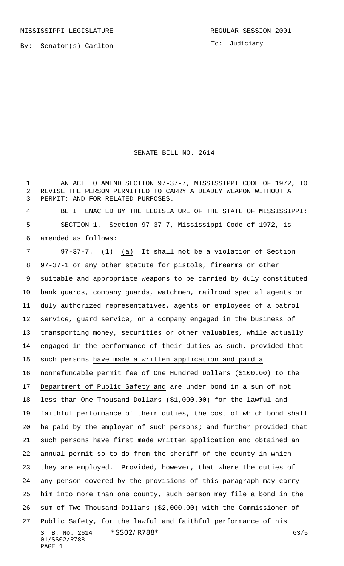By: Senator(s) Carlton

To: Judiciary

## SENATE BILL NO. 2614

 AN ACT TO AMEND SECTION 97-37-7, MISSISSIPPI CODE OF 1972, TO REVISE THE PERSON PERMITTED TO CARRY A DEADLY WEAPON WITHOUT A PERMIT; AND FOR RELATED PURPOSES.

 BE IT ENACTED BY THE LEGISLATURE OF THE STATE OF MISSISSIPPI: SECTION 1. Section 97-37-7, Mississippi Code of 1972, is amended as follows:

S. B. No. 2614 \* SSO2/R788\* G3/5 01/SS02/R788 PAGE 1 97-37-7. (1) (a) It shall not be a violation of Section 97-37-1 or any other statute for pistols, firearms or other suitable and appropriate weapons to be carried by duly constituted bank guards, company guards, watchmen, railroad special agents or duly authorized representatives, agents or employees of a patrol service, guard service, or a company engaged in the business of transporting money, securities or other valuables, while actually engaged in the performance of their duties as such, provided that such persons have made a written application and paid a nonrefundable permit fee of One Hundred Dollars (\$100.00) to the Department of Public Safety and are under bond in a sum of not less than One Thousand Dollars (\$1,000.00) for the lawful and faithful performance of their duties, the cost of which bond shall be paid by the employer of such persons; and further provided that such persons have first made written application and obtained an annual permit so to do from the sheriff of the county in which they are employed. Provided, however, that where the duties of any person covered by the provisions of this paragraph may carry him into more than one county, such person may file a bond in the sum of Two Thousand Dollars (\$2,000.00) with the Commissioner of Public Safety, for the lawful and faithful performance of his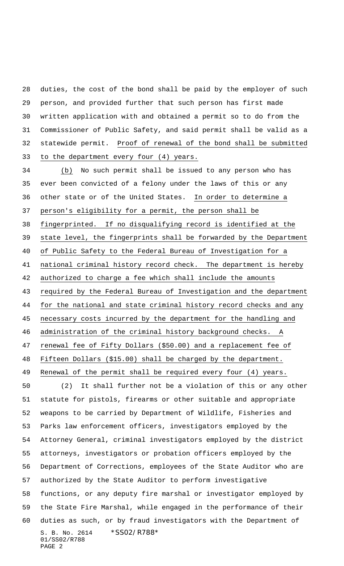duties, the cost of the bond shall be paid by the employer of such person, and provided further that such person has first made written application with and obtained a permit so to do from the Commissioner of Public Safety, and said permit shall be valid as a statewide permit. Proof of renewal of the bond shall be submitted to the department every four (4) years.

S. B. No. 2614 \*SS02/R788\* 01/SS02/R788 PAGE 2 (b) No such permit shall be issued to any person who has ever been convicted of a felony under the laws of this or any other state or of the United States. In order to determine a person's eligibility for a permit, the person shall be fingerprinted. If no disqualifying record is identified at the state level, the fingerprints shall be forwarded by the Department of Public Safety to the Federal Bureau of Investigation for a national criminal history record check. The department is hereby authorized to charge a fee which shall include the amounts required by the Federal Bureau of Investigation and the department for the national and state criminal history record checks and any necessary costs incurred by the department for the handling and administration of the criminal history background checks. A renewal fee of Fifty Dollars (\$50.00) and a replacement fee of Fifteen Dollars (\$15.00) shall be charged by the department. Renewal of the permit shall be required every four (4) years. (2) It shall further not be a violation of this or any other statute for pistols, firearms or other suitable and appropriate weapons to be carried by Department of Wildlife, Fisheries and Parks law enforcement officers, investigators employed by the Attorney General, criminal investigators employed by the district attorneys, investigators or probation officers employed by the Department of Corrections, employees of the State Auditor who are authorized by the State Auditor to perform investigative functions, or any deputy fire marshal or investigator employed by the State Fire Marshal, while engaged in the performance of their duties as such, or by fraud investigators with the Department of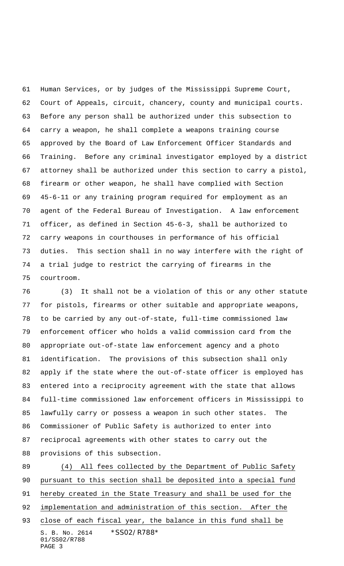Human Services, or by judges of the Mississippi Supreme Court, Court of Appeals, circuit, chancery, county and municipal courts. Before any person shall be authorized under this subsection to carry a weapon, he shall complete a weapons training course approved by the Board of Law Enforcement Officer Standards and Training. Before any criminal investigator employed by a district attorney shall be authorized under this section to carry a pistol, firearm or other weapon, he shall have complied with Section 45-6-11 or any training program required for employment as an agent of the Federal Bureau of Investigation. A law enforcement officer, as defined in Section 45-6-3, shall be authorized to carry weapons in courthouses in performance of his official duties. This section shall in no way interfere with the right of a trial judge to restrict the carrying of firearms in the courtroom.

 (3) It shall not be a violation of this or any other statute for pistols, firearms or other suitable and appropriate weapons, to be carried by any out-of-state, full-time commissioned law enforcement officer who holds a valid commission card from the appropriate out-of-state law enforcement agency and a photo identification. The provisions of this subsection shall only apply if the state where the out-of-state officer is employed has entered into a reciprocity agreement with the state that allows full-time commissioned law enforcement officers in Mississippi to lawfully carry or possess a weapon in such other states. The Commissioner of Public Safety is authorized to enter into reciprocal agreements with other states to carry out the provisions of this subsection.

S. B. No. 2614 \* SS02/R788\* 01/SS02/R788 PAGE 3 (4) All fees collected by the Department of Public Safety pursuant to this section shall be deposited into a special fund hereby created in the State Treasury and shall be used for the 92 implementation and administration of this section. After the 93 close of each fiscal year, the balance in this fund shall be